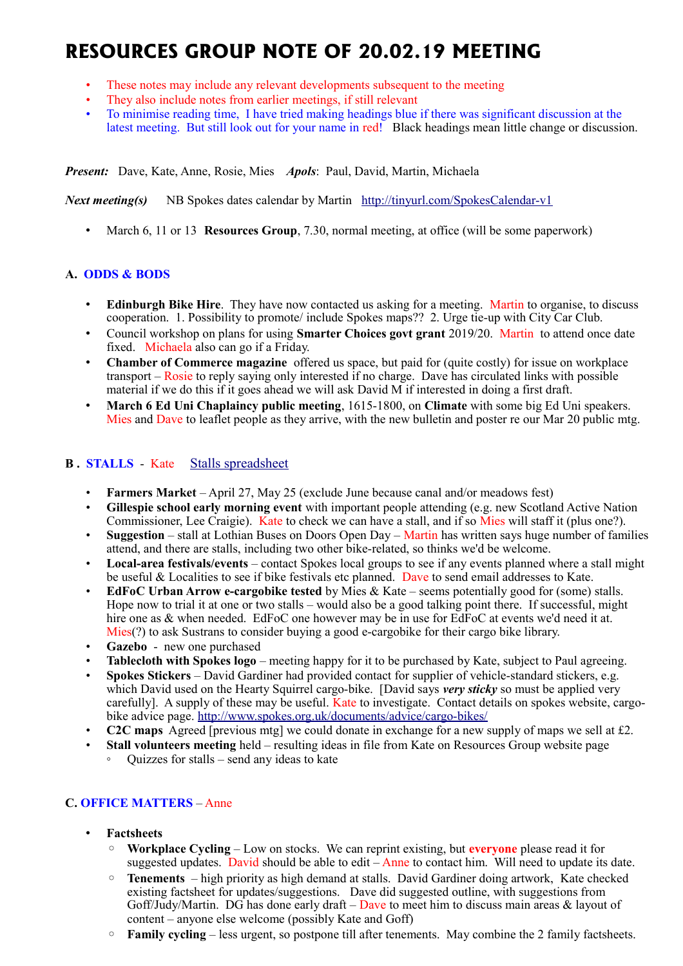# **RESOURCES GROUP NOTE OF 20.02.19 MEETING**

- These notes may include any relevant developments subsequent to the meeting
- They also include notes from earlier meetings, if still relevant
- To minimise reading time, I have tried making headings blue if there was significant discussion at the latest meeting. But still look out for your name in red! Black headings mean little change or discussion.

*Present:* Dave, Kate, Anne, Rosie, Mies *Apols*: Paul, David, Martin, Michaela

*Next meeting(s)* NB Spokes dates calendar by Martin <http://tinyurl.com/SpokesCalendar-v1>

• March 6, 11 or 13 **Resources Group**, 7.30, normal meeting, at office (will be some paperwork)

## **A. ODDS & BODS**

- **Edinburgh Bike Hire**. They have now contacted us asking for a meeting. Martin to organise, to discuss cooperation. 1. Possibility to promote/ include Spokes maps?? 2. Urge tie-up with City Car Club.
- Council workshop on plans for using **Smarter Choices govt grant** 2019/20. Martin to attend once date fixed. Michaela also can go if a Friday.
- **Chamber of Commerce magazine** offered us space, but paid for (quite costly) for issue on workplace transport – Rosie to reply saying only interested if no charge. Dave has circulated links with possible material if we do this if it goes ahead we will ask David M if interested in doing a first draft.
- **March 6 Ed Uni Chaplaincy public meeting**, 1615-1800, on **Climate** with some big Ed Uni speakers. Mies and Dave to leaflet people as they arrive, with the new bulletin and poster re our Mar 20 public mtg.

# **B . STALLS** - Kate [Stalls spreadsheet](https://docs.google.com/spreadsheets/d/1ixmHbC_ROc0P1GdGfFFx5hFzYwe4wZuTg5QcqDY7yWQ/edit?usp=drivesdk)

- **Farmers Market** April 27, May 25 (exclude June because canal and/or meadows fest)
- **Gillespie school early morning event** with important people attending (e.g. new Scotland Active Nation Commissioner, Lee Craigie). Kate to check we can have a stall, and if so Mies will staff it (plus one?).
- **Suggestion** stall at Lothian Buses on Doors Open Day Martin has written says huge number of families attend, and there are stalls, including two other bike-related, so thinks we'd be welcome.
- **Local-area festivals/events** contact Spokes local groups to see if any events planned where a stall might be useful & Localities to see if bike festivals etc planned. Dave to send email addresses to Kate.
- **EdFoC Urban Arrow e-cargobike tested** by Mies & Kate seems potentially good for (some) stalls. Hope now to trial it at one or two stalls – would also be a good talking point there. If successful, might hire one as & when needed. EdFoC one however may be in use for EdFoC at events we'd need it at. Mies(?) to ask Sustrans to consider buying a good e-cargobike for their cargo bike library.
- **Gazebo** new one purchased
- **Tablecloth with Spokes logo** meeting happy for it to be purchased by Kate, subject to Paul agreeing.
- **Spokes Stickers** David Gardiner had provided contact for supplier of vehicle-standard stickers, e.g. which David used on the Hearty Squirrel cargo-bike. [David says *very sticky* so must be applied very carefully]. A supply of these may be useful. Kate to investigate. Contact details on spokes website, cargobike advice page.<http://www.spokes.org.uk/documents/advice/cargo-bikes/>
- **C2C maps** Agreed [previous mtg] we could donate in exchange for a new supply of maps we sell at £2.
- **Stall volunteers meeting** held resulting ideas in file from Kate on Resources Group website page ◦ Quizzes for stalls – send any ideas to kate

## **C. OFFICE MATTERS** – Anne

- **Factsheets**
	- **Workplace Cycling** Low on stocks. We can reprint existing, but **everyone** please read it for suggested updates. David should be able to edit  $-\overline{A}$  and to contact him. Will need to update its date.
	- **Tenements**  high priority as high demand at stalls. David Gardiner doing artwork, Kate checked existing factsheet for updates/suggestions. Dave did suggested outline, with suggestions from Goff/Judy/Martin. DG has done early draft – Dave to meet him to discuss main areas  $\&$  layout of content – anyone else welcome (possibly Kate and Goff)
	- **Family cycling** less urgent, so postpone till after tenements. May combine the 2 family factsheets.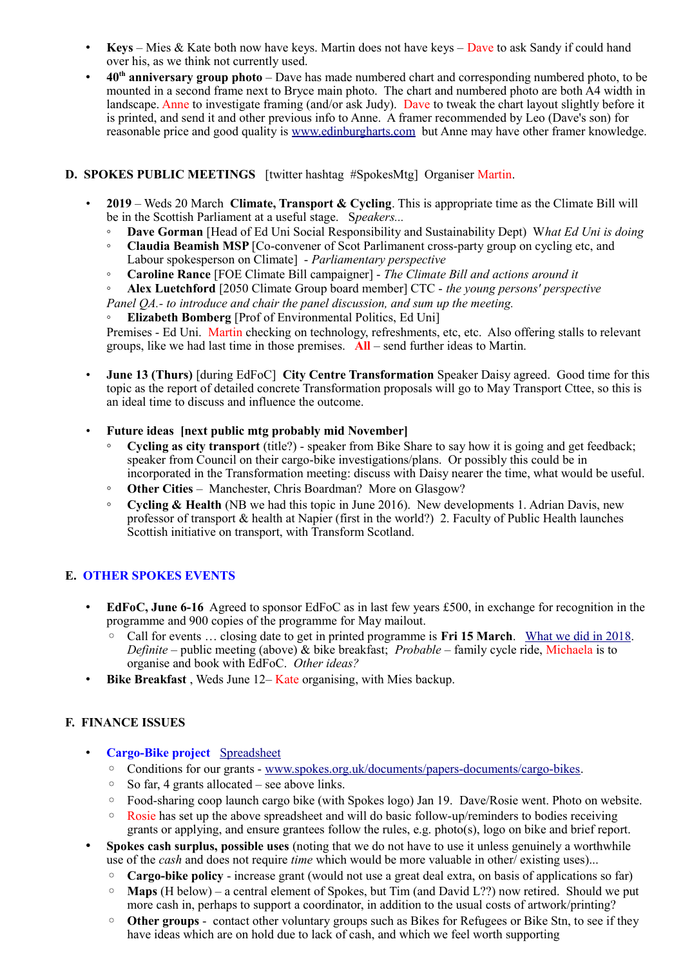- **Keys** Mies & Kate both now have keys. Martin does not have keys Dave to ask Sandy if could hand over his, as we think not currently used.
- **40th anniversary group photo** Dave has made numbered chart and corresponding numbered photo, to be mounted in a second frame next to Bryce main photo. The chart and numbered photo are both A4 width in landscape. Anne to investigate framing (and/or ask Judy). Dave to tweak the chart layout slightly before it is printed, and send it and other previous info to Anne. A framer recommended by Leo (Dave's son) for reasonable price and good quality is [www.edinburgharts.com](http://www.edinburgharts.com/) but Anne may have other framer knowledge.

## **D. SPOKES PUBLIC MEETINGS** [twitter hashtag #SpokesMtg] Organiser Martin.

- **2019** Weds 20 March **Climate, Transport & Cycling**. This is appropriate time as the Climate Bill will be in the Scottish Parliament at a useful stage. S*peakers...*
	- **Dave Gorman** [Head of Ed Uni Social Responsibility and Sustainability Dept) W*hat Ed Uni is doing*
	- **Claudia Beamish MSP** [Co-convener of Scot Parlimanent cross-party group on cycling etc, and Labour spokesperson on Climate] - *Parliamentary perspective*
	- **Caroline Rance** [FOE Climate Bill campaigner] *The Climate Bill and actions around it*
	- **Alex Luetchford** [2050 Climate Group board member] CTC *the young persons' perspective*

*Panel QA.- to introduce and chair the panel discussion, and sum up the meeting.*

**Elizabeth Bomberg** [Prof of Environmental Politics, Ed Uni]

Premises - Ed Uni. Martin checking on technology, refreshments, etc, etc. Also offering stalls to relevant groups, like we had last time in those premises. **All** – send further ideas to Martin.

- **June 13 (Thurs)** [during EdFoC] **City Centre Transformation** Speaker Daisy agreed. Good time for this topic as the report of detailed concrete Transformation proposals will go to May Transport Cttee, so this is an ideal time to discuss and influence the outcome.
- **Future ideas [next public mtg probably mid November]**
	- **Cycling as city transport** (title?) speaker from Bike Share to say how it is going and get feedback; speaker from Council on their cargo-bike investigations/plans. Or possibly this could be in incorporated in the Transformation meeting: discuss with Daisy nearer the time, what would be useful.
	- **Other Cities** Manchester, Chris Boardman? More on Glasgow?
	- **Cycling & Health** (NB we had this topic in June 2016). New developments 1. Adrian Davis, new professor of transport & health at Napier (first in the world?) 2. Faculty of Public Health launches Scottish initiative on transport, with Transform Scotland.

## **E. OTHER SPOKES EVENTS**

- **EdFoC, June 6-16** Agreed to sponsor EdFoC as in last few years £500, in exchange for recognition in the programme and 900 copies of the programme for May mailout.
	- Call for events … closing date to get in printed programme is **Fri 15 March**. [What we did in 2018.](http://www.spokes.org.uk/2018/06/city-centre-transformation-and-edfoc/) *Definite* – public meeting (above) & bike breakfast; *Probable* – family cycle ride, Michaela is to organise and book with EdFoC. *Other ideas?*
- **Bike Breakfast** , Weds June 12– Kate organising, with Mies backup.

## **F. FINANCE ISSUES**

- **Cargo-Bike project** [Spreadsheet](https://drive.google.com/drive/folders/1BuWIrWRXwrDyFuw-nDA8n9ms37oAeKwH)
	- Conditions for our grants - [www.spokes.org.uk/documents/papers-documents/cargo-bikes.](http://www.spokes.org.uk/documents/papers-documents/cargo-bikes)
	- So far, 4 grants allocated see above links.
	- Food-sharing coop launch cargo bike (with Spokes logo) Jan 19. Dave/Rosie went. Photo on website.
	- Rosie has set up the above spreadsheet and will do basic follow-up/reminders to bodies receiving grants or applying, and ensure grantees follow the rules, e.g. photo(s), logo on bike and brief report.
- **Spokes cash surplus, possible uses** (noting that we do not have to use it unless genuinely a worthwhile use of the *cash* and does not require *time* which would be more valuable in other/ existing uses)...
	- **Cargo-bike policy** increase grant (would not use a great deal extra, on basis of applications so far)
	- **Maps** (H below) a central element of Spokes, but Tim (and David L??) now retired. Should we put more cash in, perhaps to support a coordinator, in addition to the usual costs of artwork/printing?
	- **Other groups** contact other voluntary groups such as Bikes for Refugees or Bike Stn, to see if they have ideas which are on hold due to lack of cash, and which we feel worth supporting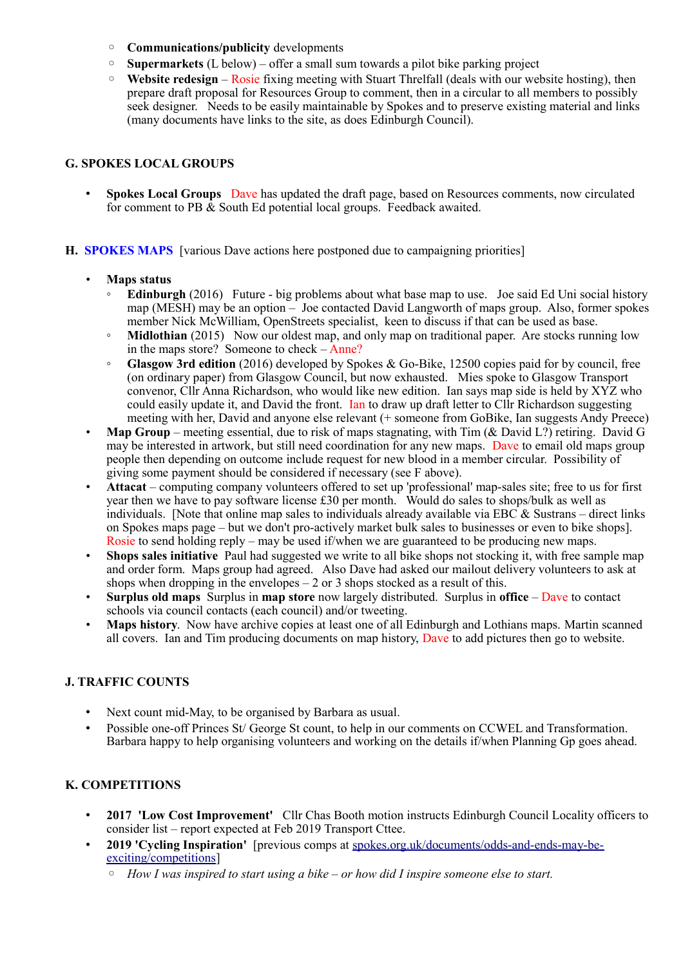- **Communications/publicity** developments
- **Supermarkets** (L below) offer a small sum towards a pilot bike parking project
- **Website redesign** Rosie fixing meeting with Stuart Threlfall (deals with our website hosting), then prepare draft proposal for Resources Group to comment, then in a circular to all members to possibly seek designer. Needs to be easily maintainable by Spokes and to preserve existing material and links (many documents have links to the site, as does Edinburgh Council).

## **G. SPOKES LOCAL GROUPS**

- **Spokes Local Groups** Dave has updated the draft page, based on Resources comments, now circulated for comment to PB  $\&$  South Ed potential local groups. Feedback awaited.
- **H. SPOKES MAPS** [various Dave actions here postponed due to campaigning priorities]
	- **Maps status**
		- **Edinburgh** (2016) Future big problems about what base map to use. Joe said Ed Uni social history map (MESH) may be an option – Joe contacted David Langworth of maps group. Also, former spokes member Nick McWilliam, OpenStreets specialist, keen to discuss if that can be used as base.
		- **Midlothian** (2015) Now our oldest map, and only map on traditional paper. Are stocks running low in the maps store? Someone to check – Anne?
		- **Glasgow 3rd edition** (2016) developed by Spokes & Go-Bike, 12500 copies paid for by council, free (on ordinary paper) from Glasgow Council, but now exhausted. Mies spoke to Glasgow Transport convenor, Cllr Anna Richardson, who would like new edition. Ian says map side is held by XYZ who could easily update it, and David the front. Ian to draw up draft letter to ClIr Richardson suggesting meeting with her, David and anyone else relevant (+ someone from GoBike, Ian suggests Andy Preece)
	- **Map Group** meeting essential, due to risk of maps stagnating, with Tim (& David L?) retiring. David G may be interested in artwork, but still need coordination for any new maps. Dave to email old maps group people then depending on outcome include request for new blood in a member circular. Possibility of giving some payment should be considered if necessary (see F above).
	- **Attacat** computing company volunteers offered to set up 'professional' map-sales site; free to us for first year then we have to pay software license £30 per month. Would do sales to shops/bulk as well as individuals. [Note that online map sales to individuals already available via EBC  $\&$  Sustrans – direct links on Spokes maps page – but we don't pro-actively market bulk sales to businesses or even to bike shops]. Rosie to send holding reply – may be used if/when we are guaranteed to be producing new maps.
	- **Shops sales initiative** Paul had suggested we write to all bike shops not stocking it, with free sample map and order form. Maps group had agreed. Also Dave had asked our mailout delivery volunteers to ask at shops when dropping in the envelopes  $-2$  or 3 shops stocked as a result of this.
	- **Surplus old maps** Surplus in **map store** now largely distributed. Surplus in **office** Dave to contact schools via council contacts (each council) and/or tweeting.
	- **Maps history**. Now have archive copies at least one of all Edinburgh and Lothians maps. Martin scanned all covers. Ian and Tim producing documents on map history, Dave to add pictures then go to website.

#### **J. TRAFFIC COUNTS**

- Next count mid-May, to be organised by Barbara as usual.
- Possible one-off Princes St/ George St count, to help in our comments on CCWEL and Transformation. Barbara happy to help organising volunteers and working on the details if/when Planning Gp goes ahead.

## **K. COMPETITIONS**

- **2017 'Low Cost Improvement'** Cllr Chas Booth motion instructs Edinburgh Council Locality officers to consider list – report expected at Feb 2019 Transport Cttee.
- **2019 'Cycling Inspiration'** [previous comps at [spokes.org.uk/documents/odds-and-ends-may-be](http://www.spokes.org.uk/documents/odds-and-ends-may-be-exciting/competitions/)[exciting/competitions\]](http://www.spokes.org.uk/documents/odds-and-ends-may-be-exciting/competitions/)
	- *How I was inspired to start using a bike or how did I inspire someone else to start.*